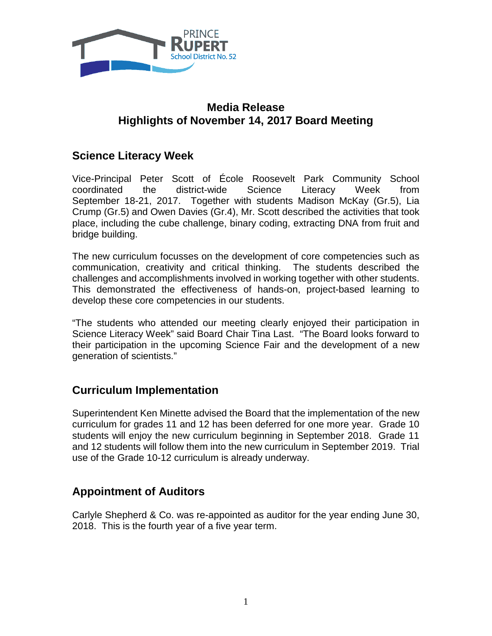

### **Media Release Highlights of November 14, 2017 Board Meeting**

## **Science Literacy Week**

Vice-Principal Peter Scott of École Roosevelt Park Community School coordinated the district-wide Science Literacy Week from September 18-21, 2017. Together with students Madison McKay (Gr.5), Lia Crump (Gr.5) and Owen Davies (Gr.4), Mr. Scott described the activities that took place, including the cube challenge, binary coding, extracting DNA from fruit and bridge building.

The new curriculum focusses on the development of core competencies such as communication, creativity and critical thinking. The students described the challenges and accomplishments involved in working together with other students. This demonstrated the effectiveness of hands-on, project-based learning to develop these core competencies in our students.

"The students who attended our meeting clearly enjoyed their participation in Science Literacy Week" said Board Chair Tina Last. "The Board looks forward to their participation in the upcoming Science Fair and the development of a new generation of scientists."

#### **Curriculum Implementation**

Superintendent Ken Minette advised the Board that the implementation of the new curriculum for grades 11 and 12 has been deferred for one more year. Grade 10 students will enjoy the new curriculum beginning in September 2018. Grade 11 and 12 students will follow them into the new curriculum in September 2019. Trial use of the Grade 10-12 curriculum is already underway.

#### **Appointment of Auditors**

Carlyle Shepherd & Co. was re-appointed as auditor for the year ending June 30, 2018. This is the fourth year of a five year term.